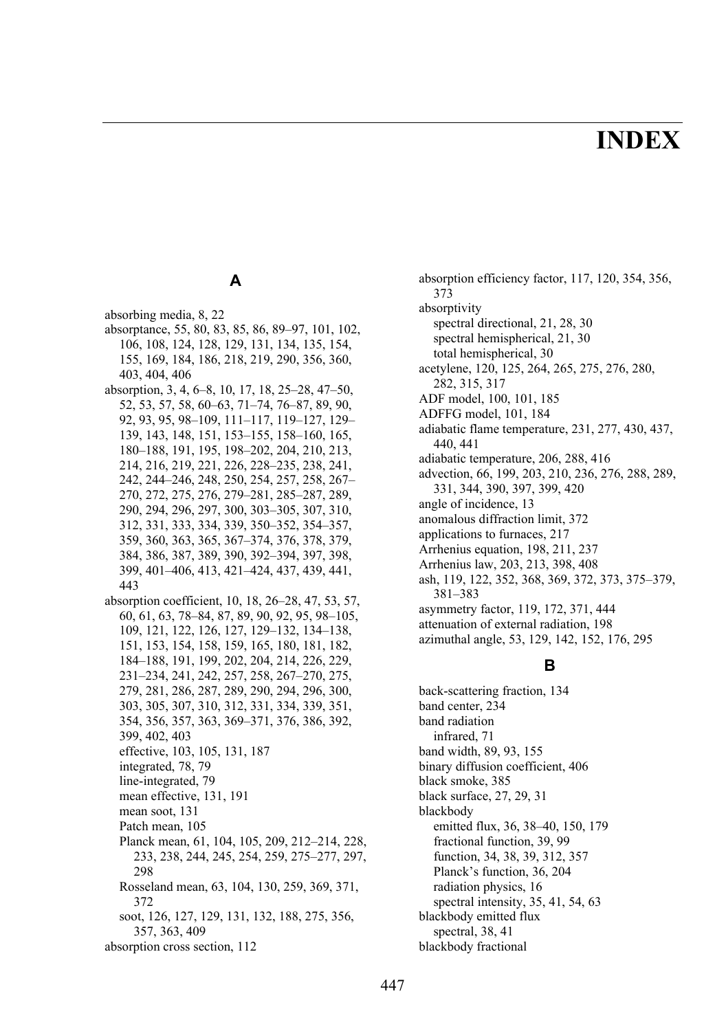# **INDEX**

# **A**

absorbing media, 8, 22 absorptance, 55, 80, 83, 85, 86, 89–97, 101, 102, 106, 108, 124, 128, 129, 131, 134, 135, 154, 155, 169, 184, 186, 218, 219, 290, 356, 360, 403, 404, 406 absorption, 3, 4, 6–8, 10, 17, 18, 25–28, 47–50, 52, 53, 57, 58, 60–63, 71–74, 76–87, 89, 90, 92, 93, 95, 98–109, 111–117, 119–127, 129– 139, 143, 148, 151, 153–155, 158–160, 165, 180–188, 191, 195, 198–202, 204, 210, 213, 214, 216, 219, 221, 226, 228–235, 238, 241, 242, 244–246, 248, 250, 254, 257, 258, 267– 270, 272, 275, 276, 279–281, 285–287, 289, 290, 294, 296, 297, 300, 303–305, 307, 310, 312, 331, 333, 334, 339, 350–352, 354–357, 359, 360, 363, 365, 367–374, 376, 378, 379, 384, 386, 387, 389, 390, 392–394, 397, 398, 399, 401–406, 413, 421–424, 437, 439, 441, 443 absorption coefficient, 10, 18, 26–28, 47, 53, 57, 60, 61, 63, 78–84, 87, 89, 90, 92, 95, 98–105, 109, 121, 122, 126, 127, 129–132, 134–138, 151, 153, 154, 158, 159, 165, 180, 181, 182, 184–188, 191, 199, 202, 204, 214, 226, 229, 231–234, 241, 242, 257, 258, 267–270, 275, 279, 281, 286, 287, 289, 290, 294, 296, 300, 303, 305, 307, 310, 312, 331, 334, 339, 351, 354, 356, 357, 363, 369–371, 376, 386, 392, 399, 402, 403 effective, 103, 105, 131, 187 integrated, 78, 79 line-integrated, 79 mean effective, 131, 191 mean soot, 131 Patch mean, 105 Planck mean, 61, 104, 105, 209, 212–214, 228, 233, 238, 244, 245, 254, 259, 275–277, 297, 298 Rosseland mean, 63, 104, 130, 259, 369, 371, 372 soot, 126, 127, 129, 131, 132, 188, 275, 356, 357, 363, 409 absorption cross section, 112

absorption efficiency factor, 117, 120, 354, 356, 373 absorptivity spectral directional, 21, 28, 30 spectral hemispherical, 21, 30 total hemispherical, 30 acetylene, 120, 125, 264, 265, 275, 276, 280, 282, 315, 317 ADF model, 100, 101, 185 ADFFG model, 101, 184 adiabatic flame temperature, 231, 277, 430, 437, 440, 441 adiabatic temperature, 206, 288, 416 advection, 66, 199, 203, 210, 236, 276, 288, 289, 331, 344, 390, 397, 399, 420 angle of incidence, 13 anomalous diffraction limit, 372 applications to furnaces, 217 Arrhenius equation, 198, 211, 237 Arrhenius law, 203, 213, 398, 408 ash, 119, 122, 352, 368, 369, 372, 373, 375–379, 381–383 asymmetry factor, 119, 172, 371, 444 attenuation of external radiation, 198 azimuthal angle, 53, 129, 142, 152, 176, 295

#### **B**

back-scattering fraction, 134 band center, 234 band radiation infrared, 71 band width, 89, 93, 155 binary diffusion coefficient, 406 black smoke, 385 black surface, 27, 29, 31 blackbody emitted flux, 36, 38–40, 150, 179 fractional function, 39, 99 function, 34, 38, 39, 312, 357 Planck's function, 36, 204 radiation physics, 16 spectral intensity, 35, 41, 54, 63 blackbody emitted flux spectral, 38, 41 blackbody fractional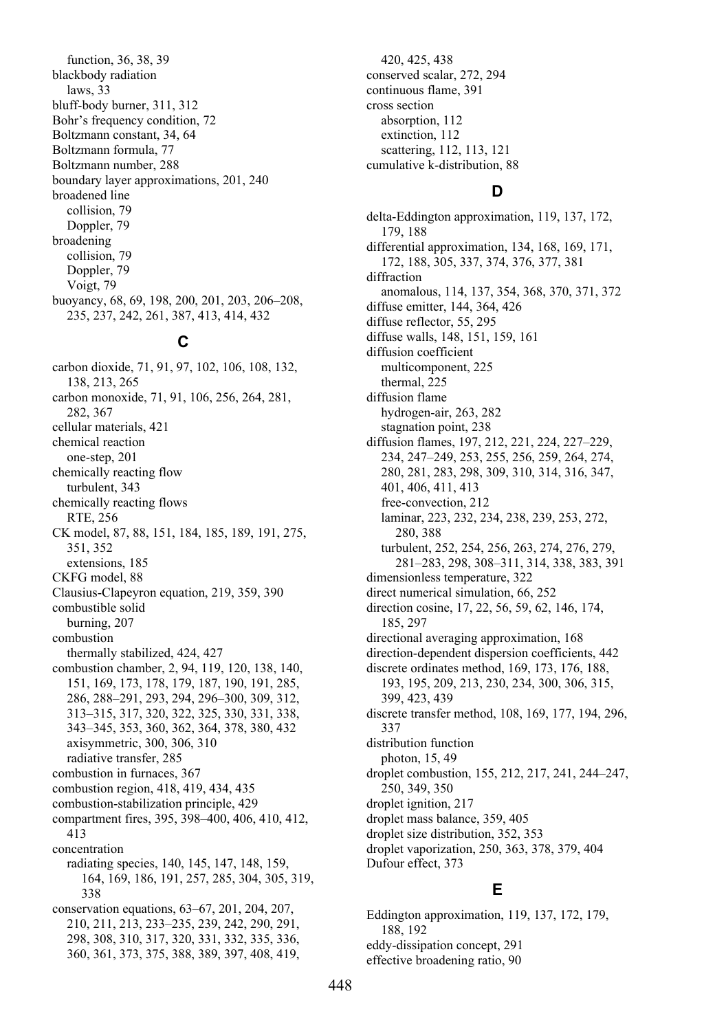function, 36, 38, 39 blackbody radiation laws, 33 bluff-body burner, 311, 312 Bohr's frequency condition, 72 Boltzmann constant, 34, 64 Boltzmann formula, 77 Boltzmann number, 288 boundary layer approximations, 201, 240 broadened line collision, 79 Doppler, 79 broadening collision, 79 Doppler, 79 Voigt, 79 buoyancy, 68, 69, 198, 200, 201, 203, 206–208, 235, 237, 242, 261, 387, 413, 414, 432

#### **C**

carbon dioxide, 71, 91, 97, 102, 106, 108, 132, 138, 213, 265 carbon monoxide, 71, 91, 106, 256, 264, 281, 282, 367 cellular materials, 421 chemical reaction one-step, 201 chemically reacting flow turbulent, 343 chemically reacting flows RTE, 256 CK model, 87, 88, 151, 184, 185, 189, 191, 275, 351, 352 extensions, 185 CKFG model, 88 Clausius-Clapeyron equation, 219, 359, 390 combustible solid burning, 207 combustion thermally stabilized, 424, 427 combustion chamber, 2, 94, 119, 120, 138, 140, 151, 169, 173, 178, 179, 187, 190, 191, 285, 286, 288–291, 293, 294, 296–300, 309, 312, 313–315, 317, 320, 322, 325, 330, 331, 338, 343–345, 353, 360, 362, 364, 378, 380, 432 axisymmetric, 300, 306, 310 radiative transfer, 285 combustion in furnaces, 367 combustion region, 418, 419, 434, 435 combustion-stabilization principle, 429 compartment fires, 395, 398–400, 406, 410, 412, 413 concentration radiating species, 140, 145, 147, 148, 159, 164, 169, 186, 191, 257, 285, 304, 305, 319, 338 conservation equations, 63–67, 201, 204, 207, 210, 211, 213, 233–235, 239, 242, 290, 291, 298, 308, 310, 317, 320, 331, 332, 335, 336, 360, 361, 373, 375, 388, 389, 397, 408, 419,

420, 425, 438 conserved scalar, 272, 294 continuous flame, 391 cross section absorption, 112 extinction, 112 scattering, 112, 113, 121 cumulative k-distribution, 88

## **D**

delta-Eddington approximation, 119, 137, 172, 179, 188 differential approximation, 134, 168, 169, 171, 172, 188, 305, 337, 374, 376, 377, 381 diffraction anomalous, 114, 137, 354, 368, 370, 371, 372 diffuse emitter, 144, 364, 426 diffuse reflector, 55, 295 diffuse walls, 148, 151, 159, 161 diffusion coefficient multicomponent, 225 thermal, 225 diffusion flame hydrogen-air, 263, 282 stagnation point, 238 diffusion flames, 197, 212, 221, 224, 227–229, 234, 247–249, 253, 255, 256, 259, 264, 274, 280, 281, 283, 298, 309, 310, 314, 316, 347, 401, 406, 411, 413 free-convection, 212 laminar, 223, 232, 234, 238, 239, 253, 272, 280, 388 turbulent, 252, 254, 256, 263, 274, 276, 279, 281–283, 298, 308–311, 314, 338, 383, 391 dimensionless temperature, 322 direct numerical simulation, 66, 252 direction cosine, 17, 22, 56, 59, 62, 146, 174, 185, 297 directional averaging approximation, 168 direction-dependent dispersion coefficients, 442 discrete ordinates method, 169, 173, 176, 188, 193, 195, 209, 213, 230, 234, 300, 306, 315, 399, 423, 439 discrete transfer method, 108, 169, 177, 194, 296, 337 distribution function photon, 15, 49 droplet combustion, 155, 212, 217, 241, 244–247, 250, 349, 350 droplet ignition, 217 droplet mass balance, 359, 405 droplet size distribution, 352, 353 droplet vaporization, 250, 363, 378, 379, 404 Dufour effect, 373

# **E**

Eddington approximation, 119, 137, 172, 179, 188, 192 eddy-dissipation concept, 291 effective broadening ratio, 90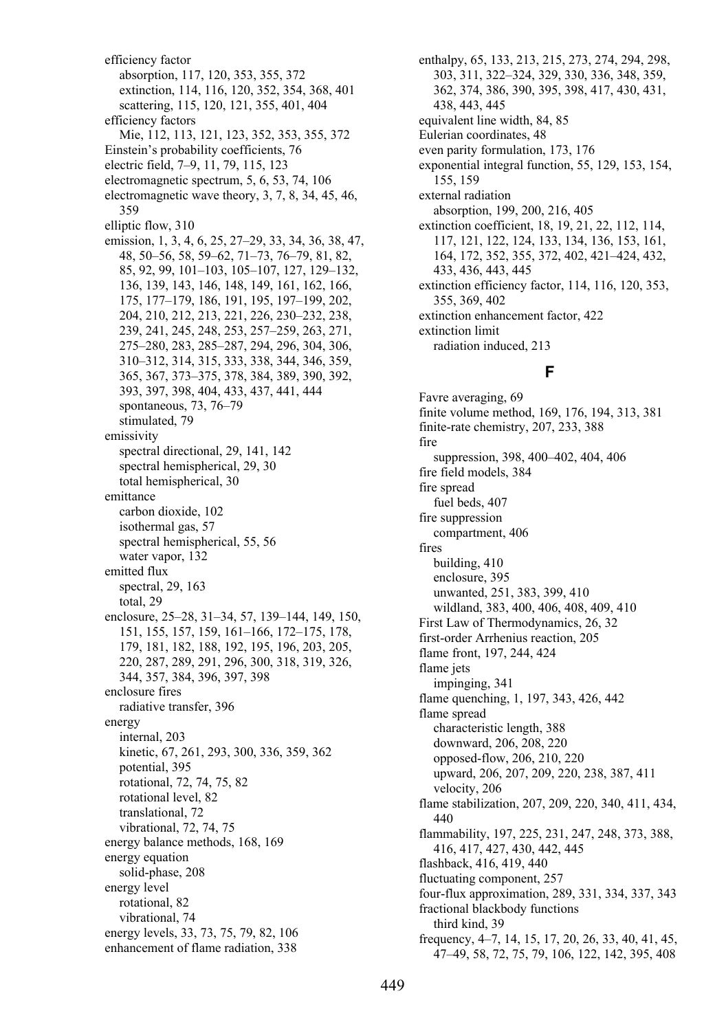efficiency factor absorption, 117, 120, 353, 355, 372 extinction, 114, 116, 120, 352, 354, 368, 401 scattering, 115, 120, 121, 355, 401, 404 efficiency factors Mie, 112, 113, 121, 123, 352, 353, 355, 372 Einstein's probability coefficients, 76 electric field, 7–9, 11, 79, 115, 123 electromagnetic spectrum, 5, 6, 53, 74, 106 electromagnetic wave theory, 3, 7, 8, 34, 45, 46, 359 elliptic flow, 310 emission, 1, 3, 4, 6, 25, 27–29, 33, 34, 36, 38, 47, 48, 50–56, 58, 59–62, 71–73, 76–79, 81, 82, 85, 92, 99, 101–103, 105–107, 127, 129–132, 136, 139, 143, 146, 148, 149, 161, 162, 166, 175, 177–179, 186, 191, 195, 197–199, 202, 204, 210, 212, 213, 221, 226, 230–232, 238, 239, 241, 245, 248, 253, 257–259, 263, 271, 275–280, 283, 285–287, 294, 296, 304, 306, 310–312, 314, 315, 333, 338, 344, 346, 359, 365, 367, 373–375, 378, 384, 389, 390, 392, 393, 397, 398, 404, 433, 437, 441, 444 spontaneous, 73, 76–79 stimulated, 79 emissivity spectral directional, 29, 141, 142 spectral hemispherical, 29, 30 total hemispherical, 30 emittance carbon dioxide, 102 isothermal gas, 57 spectral hemispherical, 55, 56 water vapor, 132 emitted flux spectral, 29, 163 total, 29 enclosure, 25–28, 31–34, 57, 139–144, 149, 150, 151, 155, 157, 159, 161–166, 172–175, 178, 179, 181, 182, 188, 192, 195, 196, 203, 205, 220, 287, 289, 291, 296, 300, 318, 319, 326, 344, 357, 384, 396, 397, 398 enclosure fires radiative transfer, 396 energy internal, 203 kinetic, 67, 261, 293, 300, 336, 359, 362 potential, 395 rotational, 72, 74, 75, 82 rotational level, 82 translational, 72 vibrational, 72, 74, 75 energy balance methods, 168, 169 energy equation solid-phase, 208 energy level rotational, 82 vibrational, 74 energy levels, 33, 73, 75, 79, 82, 106 enhancement of flame radiation, 338

enthalpy, 65, 133, 213, 215, 273, 274, 294, 298, 303, 311, 322–324, 329, 330, 336, 348, 359, 362, 374, 386, 390, 395, 398, 417, 430, 431, 438, 443, 445 equivalent line width, 84, 85 Eulerian coordinates, 48 even parity formulation, 173, 176 exponential integral function, 55, 129, 153, 154, 155, 159 external radiation absorption, 199, 200, 216, 405 extinction coefficient, 18, 19, 21, 22, 112, 114, 117, 121, 122, 124, 133, 134, 136, 153, 161, 164, 172, 352, 355, 372, 402, 421–424, 432, 433, 436, 443, 445 extinction efficiency factor, 114, 116, 120, 353, 355, 369, 402 extinction enhancement factor, 422 extinction limit radiation induced, 213

# **F**

Favre averaging, 69 finite volume method, 169, 176, 194, 313, 381 finite-rate chemistry, 207, 233, 388 fire suppression, 398, 400–402, 404, 406 fire field models, 384 fire spread fuel beds, 407 fire suppression compartment, 406 fires building, 410 enclosure, 395 unwanted, 251, 383, 399, 410 wildland, 383, 400, 406, 408, 409, 410 First Law of Thermodynamics, 26, 32 first-order Arrhenius reaction, 205 flame front, 197, 244, 424 flame jets impinging, 341 flame quenching, 1, 197, 343, 426, 442 flame spread characteristic length, 388 downward, 206, 208, 220 opposed-flow, 206, 210, 220 upward, 206, 207, 209, 220, 238, 387, 411 velocity, 206 flame stabilization, 207, 209, 220, 340, 411, 434, 440 flammability, 197, 225, 231, 247, 248, 373, 388, 416, 417, 427, 430, 442, 445 flashback, 416, 419, 440 fluctuating component, 257 four-flux approximation, 289, 331, 334, 337, 343 fractional blackbody functions third kind, 39 frequency, 4–7, 14, 15, 17, 20, 26, 33, 40, 41, 45, 47–49, 58, 72, 75, 79, 106, 122, 142, 395, 408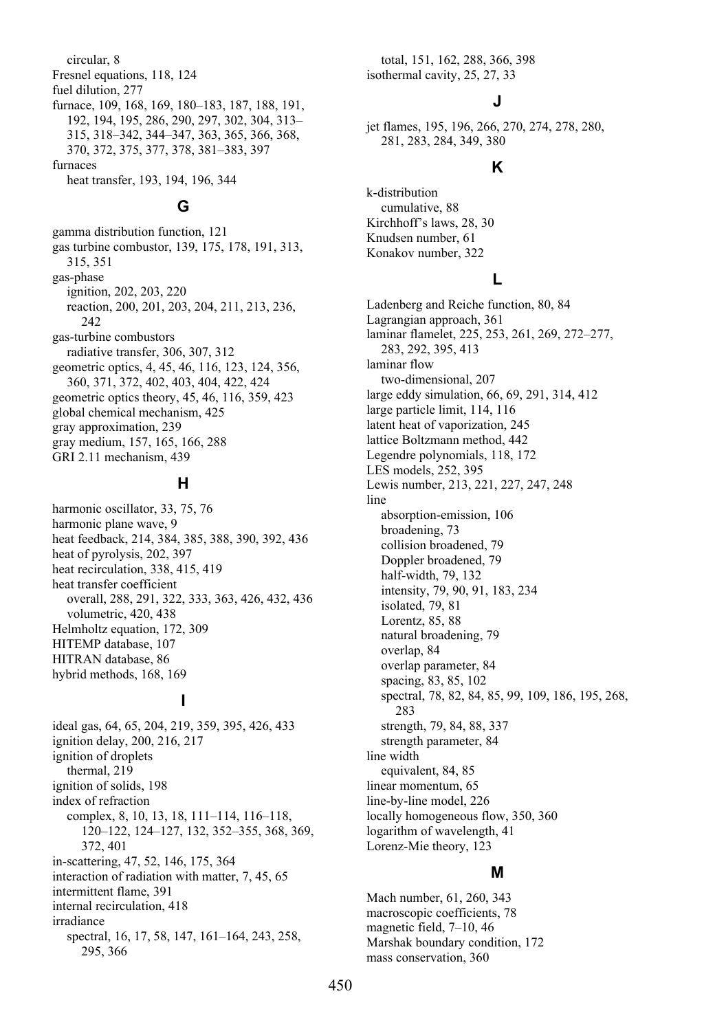circular, 8 Fresnel equations, 118, 124 fuel dilution, 277 furnace, 109, 168, 169, 180–183, 187, 188, 191, 192, 194, 195, 286, 290, 297, 302, 304, 313– 315, 318–342, 344–347, 363, 365, 366, 368, 370, 372, 375, 377, 378, 381–383, 397 furnaces heat transfer, 193, 194, 196, 344

#### **G**

gamma distribution function, 121 gas turbine combustor, 139, 175, 178, 191, 313, 315, 351 gas-phase ignition, 202, 203, 220 reaction, 200, 201, 203, 204, 211, 213, 236,  $242$ gas-turbine combustors radiative transfer, 306, 307, 312 geometric optics, 4, 45, 46, 116, 123, 124, 356, 360, 371, 372, 402, 403, 404, 422, 424 geometric optics theory, 45, 46, 116, 359, 423 global chemical mechanism, 425 gray approximation, 239 gray medium, 157, 165, 166, 288 GRI 2.11 mechanism, 439

#### **H**

harmonic oscillator, 33, 75, 76 harmonic plane wave, 9 heat feedback, 214, 384, 385, 388, 390, 392, 436 heat of pyrolysis, 202, 397 heat recirculation, 338, 415, 419 heat transfer coefficient overall, 288, 291, 322, 333, 363, 426, 432, 436 volumetric, 420, 438 Helmholtz equation, 172, 309 HITEMP database, 107 HITRAN database, 86 hybrid methods, 168, 169

## **I**

ideal gas, 64, 65, 204, 219, 359, 395, 426, 433 ignition delay, 200, 216, 217 ignition of droplets thermal, 219 ignition of solids, 198 index of refraction complex, 8, 10, 13, 18, 111–114, 116–118, 120–122, 124–127, 132, 352–355, 368, 369, 372, 401 in-scattering, 47, 52, 146, 175, 364 interaction of radiation with matter, 7, 45, 65 intermittent flame, 391 internal recirculation, 418 irradiance spectral, 16, 17, 58, 147, 161–164, 243, 258, 295, 366

total, 151, 162, 288, 366, 398 isothermal cavity, 25, 27, 33

k-distribution

## **J**

jet flames, 195, 196, 266, 270, 274, 278, 280, 281, 283, 284, 349, 380

#### **K**

cumulative, 88 Kirchhoff's laws, 28, 30 Knudsen number, 61 Konakov number, 322 **L**  Ladenberg and Reiche function, 80, 84 Lagrangian approach, 361 laminar flamelet, 225, 253, 261, 269, 272–277, 283, 292, 395, 413 laminar flow two-dimensional, 207 large eddy simulation, 66, 69, 291, 314, 412 large particle limit, 114, 116 latent heat of vaporization, 245 lattice Boltzmann method, 442 Legendre polynomials, 118, 172 LES models, 252, 395 Lewis number, 213, 221, 227, 247, 248 line absorption-emission, 106 broadening, 73 collision broadened, 79 Doppler broadened, 79 half-width, 79, 132 intensity, 79, 90, 91, 183, 234 isolated, 79, 81 Lorentz, 85, 88 natural broadening, 79 overlap, 84 overlap parameter, 84 spacing, 83, 85, 102 spectral, 78, 82, 84, 85, 99, 109, 186, 195, 268, 283 strength, 79, 84, 88, 337 strength parameter, 84 line width equivalent, 84, 85 linear momentum, 65 line-by-line model, 226 locally homogeneous flow, 350, 360 logarithm of wavelength, 41 Lorenz-Mie theory, 123

#### **M**

Mach number, 61, 260, 343 macroscopic coefficients, 78 magnetic field, 7–10, 46 Marshak boundary condition, 172 mass conservation, 360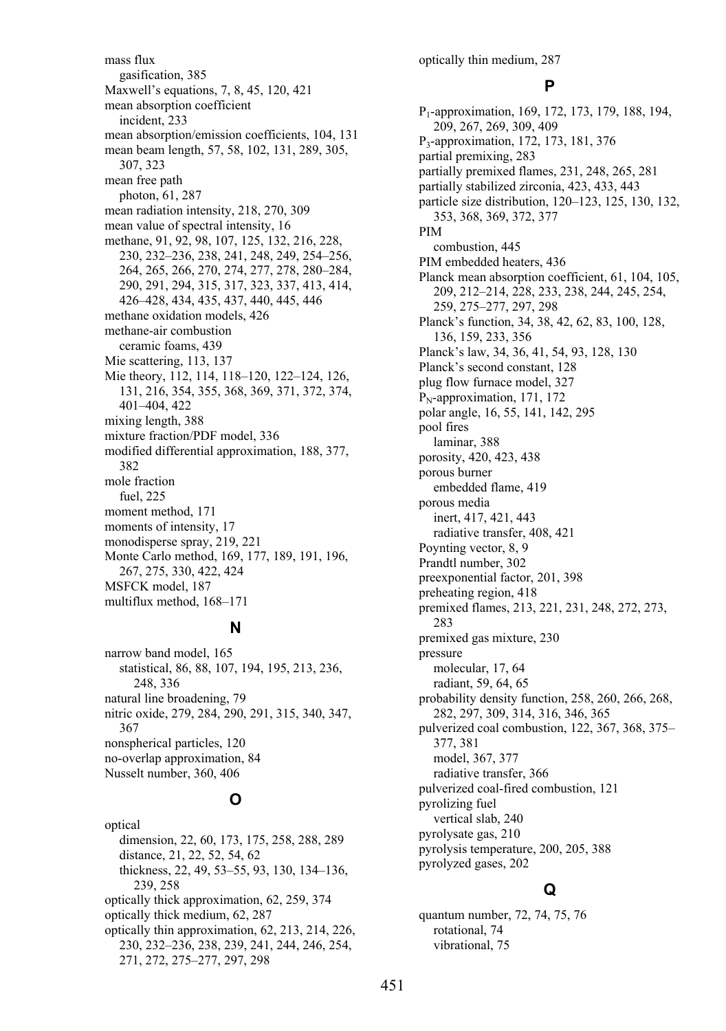mass flux gasification, 385 Maxwell's equations, 7, 8, 45, 120, 421 mean absorption coefficient incident, 233 mean absorption/emission coefficients, 104, 131 mean beam length, 57, 58, 102, 131, 289, 305, 307, 323 mean free path photon, 61, 287 mean radiation intensity, 218, 270, 309 mean value of spectral intensity, 16 methane, 91, 92, 98, 107, 125, 132, 216, 228, 230, 232–236, 238, 241, 248, 249, 254–256, 264, 265, 266, 270, 274, 277, 278, 280–284, 290, 291, 294, 315, 317, 323, 337, 413, 414, 426–428, 434, 435, 437, 440, 445, 446 methane oxidation models, 426 methane-air combustion ceramic foams, 439 Mie scattering, 113, 137 Mie theory, 112, 114, 118–120, 122–124, 126, 131, 216, 354, 355, 368, 369, 371, 372, 374, 401–404, 422 mixing length, 388 mixture fraction/PDF model, 336 modified differential approximation, 188, 377, 382 mole fraction fuel, 225 moment method, 171 moments of intensity, 17 monodisperse spray, 219, 221 Monte Carlo method, 169, 177, 189, 191, 196, 267, 275, 330, 422, 424 MSFCK model, 187 multiflux method, 168–171

#### **N**

narrow band model, 165 statistical, 86, 88, 107, 194, 195, 213, 236, 248, 336 natural line broadening, 79 nitric oxide, 279, 284, 290, 291, 315, 340, 347, 367 nonspherical particles, 120 no-overlap approximation, 84 Nusselt number, 360, 406

# **O**

optical dimension, 22, 60, 173, 175, 258, 288, 289 distance, 21, 22, 52, 54, 62 thickness, 22, 49, 53–55, 93, 130, 134–136, 239, 258 optically thick approximation, 62, 259, 374 optically thick medium, 62, 287 optically thin approximation, 62, 213, 214, 226, 230, 232–236, 238, 239, 241, 244, 246, 254, 271, 272, 275–277, 297, 298

optically thin medium, 287

#### **P**

P1-approximation, 169, 172, 173, 179, 188, 194, 209, 267, 269, 309, 409 P3-approximation, 172, 173, 181, 376 partial premixing, 283 partially premixed flames, 231, 248, 265, 281 partially stabilized zirconia, 423, 433, 443 particle size distribution, 120–123, 125, 130, 132, 353, 368, 369, 372, 377 PIM combustion, 445 PIM embedded heaters, 436 Planck mean absorption coefficient, 61, 104, 105, 209, 212–214, 228, 233, 238, 244, 245, 254, 259, 275–277, 297, 298 Planck's function, 34, 38, 42, 62, 83, 100, 128, 136, 159, 233, 356 Planck's law, 34, 36, 41, 54, 93, 128, 130 Planck's second constant, 128 plug flow furnace model, 327  $P_N$ -approximation, 171, 172 polar angle, 16, 55, 141, 142, 295 pool fires laminar, 388 porosity, 420, 423, 438 porous burner embedded flame, 419 porous media inert, 417, 421, 443 radiative transfer, 408, 421 Poynting vector, 8, 9 Prandtl number, 302 preexponential factor, 201, 398 preheating region, 418 premixed flames, 213, 221, 231, 248, 272, 273, 283 premixed gas mixture, 230 pressure molecular, 17, 64 radiant, 59, 64, 65 probability density function, 258, 260, 266, 268, 282, 297, 309, 314, 316, 346, 365 pulverized coal combustion, 122, 367, 368, 375– 377, 381 model, 367, 377 radiative transfer, 366 pulverized coal-fired combustion, 121 pyrolizing fuel vertical slab, 240 pyrolysate gas, 210 pyrolysis temperature, 200, 205, 388 pyrolyzed gases, 202

# **Q**

quantum number, 72, 74, 75, 76 rotational, 74 vibrational, 75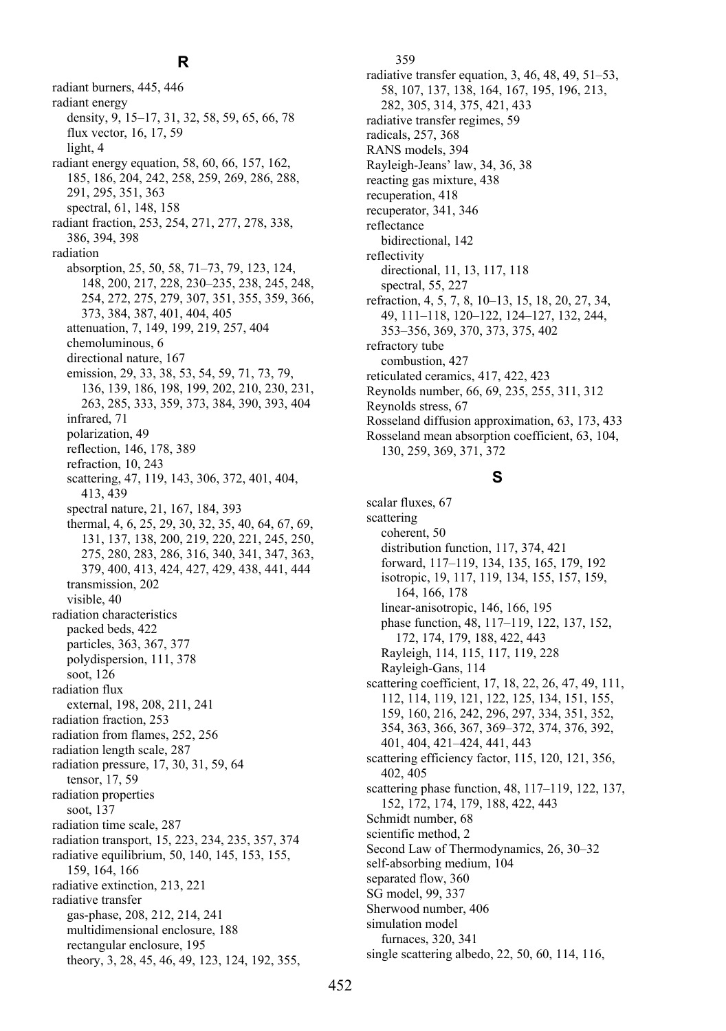### **R**

radiant burners, 445, 446 radiant energy density, 9, 15–17, 31, 32, 58, 59, 65, 66, 78 flux vector, 16, 17, 59 light, 4 radiant energy equation, 58, 60, 66, 157, 162, 185, 186, 204, 242, 258, 259, 269, 286, 288, 291, 295, 351, 363 spectral, 61, 148, 158 radiant fraction, 253, 254, 271, 277, 278, 338, 386, 394, 398 radiation absorption, 25, 50, 58, 71–73, 79, 123, 124, 148, 200, 217, 228, 230–235, 238, 245, 248, 254, 272, 275, 279, 307, 351, 355, 359, 366, 373, 384, 387, 401, 404, 405 attenuation, 7, 149, 199, 219, 257, 404 chemoluminous, 6 directional nature, 167 emission, 29, 33, 38, 53, 54, 59, 71, 73, 79, 136, 139, 186, 198, 199, 202, 210, 230, 231, 263, 285, 333, 359, 373, 384, 390, 393, 404 infrared, 71 polarization, 49 reflection, 146, 178, 389 refraction, 10, 243 scattering, 47, 119, 143, 306, 372, 401, 404, 413, 439 spectral nature, 21, 167, 184, 393 thermal, 4, 6, 25, 29, 30, 32, 35, 40, 64, 67, 69, 131, 137, 138, 200, 219, 220, 221, 245, 250, 275, 280, 283, 286, 316, 340, 341, 347, 363, 379, 400, 413, 424, 427, 429, 438, 441, 444 transmission, 202 visible, 40 radiation characteristics packed beds, 422 particles, 363, 367, 377 polydispersion, 111, 378 soot, 126 radiation flux external, 198, 208, 211, 241 radiation fraction, 253 radiation from flames, 252, 256 radiation length scale, 287 radiation pressure, 17, 30, 31, 59, 64 tensor, 17, 59 radiation properties soot, 137 radiation time scale, 287 radiation transport, 15, 223, 234, 235, 357, 374 radiative equilibrium, 50, 140, 145, 153, 155, 159, 164, 166 radiative extinction, 213, 221 radiative transfer gas-phase, 208, 212, 214, 241 multidimensional enclosure, 188 rectangular enclosure, 195 theory, 3, 28, 45, 46, 49, 123, 124, 192, 355,

359 radiative transfer equation, 3, 46, 48, 49, 51–53, 58, 107, 137, 138, 164, 167, 195, 196, 213, 282, 305, 314, 375, 421, 433 radiative transfer regimes, 59 radicals, 257, 368 RANS models, 394 Rayleigh-Jeans' law, 34, 36, 38 reacting gas mixture, 438 recuperation, 418 recuperator, 341, 346 reflectance bidirectional, 142 reflectivity directional, 11, 13, 117, 118 spectral, 55, 227 refraction, 4, 5, 7, 8, 10–13, 15, 18, 20, 27, 34, 49, 111–118, 120–122, 124–127, 132, 244, 353–356, 369, 370, 373, 375, 402 refractory tube combustion, 427 reticulated ceramics, 417, 422, 423 Reynolds number, 66, 69, 235, 255, 311, 312 Reynolds stress, 67 Rosseland diffusion approximation, 63, 173, 433 Rosseland mean absorption coefficient, 63, 104,

130, 259, 369, 371, 372

#### **S**

scalar fluxes, 67 scattering coherent, 50 distribution function, 117, 374, 421 forward, 117–119, 134, 135, 165, 179, 192 isotropic, 19, 117, 119, 134, 155, 157, 159, 164, 166, 178 linear-anisotropic, 146, 166, 195 phase function, 48, 117–119, 122, 137, 152, 172, 174, 179, 188, 422, 443 Rayleigh, 114, 115, 117, 119, 228 Rayleigh-Gans, 114 scattering coefficient, 17, 18, 22, 26, 47, 49, 111, 112, 114, 119, 121, 122, 125, 134, 151, 155, 159, 160, 216, 242, 296, 297, 334, 351, 352, 354, 363, 366, 367, 369–372, 374, 376, 392, 401, 404, 421–424, 441, 443 scattering efficiency factor, 115, 120, 121, 356, 402, 405 scattering phase function, 48, 117–119, 122, 137, 152, 172, 174, 179, 188, 422, 443 Schmidt number, 68 scientific method, 2 Second Law of Thermodynamics, 26, 30–32 self-absorbing medium, 104 separated flow, 360 SG model, 99, 337 Sherwood number, 406 simulation model furnaces, 320, 341 single scattering albedo, 22, 50, 60, 114, 116,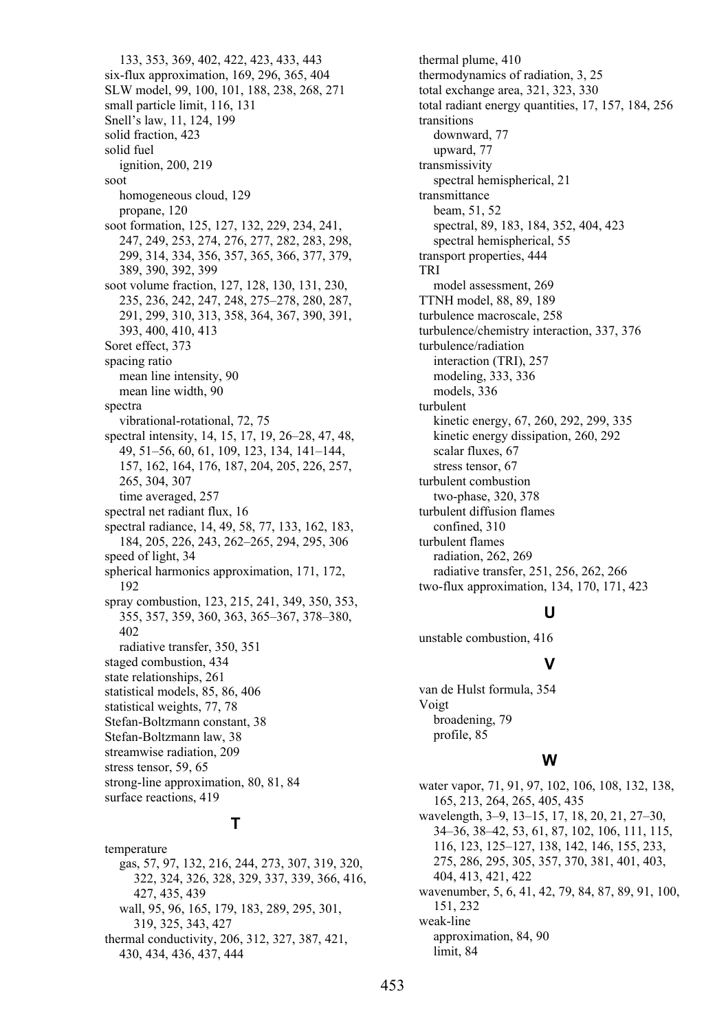133, 353, 369, 402, 422, 423, 433, 443 six-flux approximation, 169, 296, 365, 404 SLW model, 99, 100, 101, 188, 238, 268, 271 small particle limit, 116, 131 Snell's law, 11, 124, 199 solid fraction, 423 solid fuel ignition, 200, 219 soot homogeneous cloud, 129 propane, 120 soot formation, 125, 127, 132, 229, 234, 241, 247, 249, 253, 274, 276, 277, 282, 283, 298, 299, 314, 334, 356, 357, 365, 366, 377, 379, 389, 390, 392, 399 soot volume fraction, 127, 128, 130, 131, 230, 235, 236, 242, 247, 248, 275–278, 280, 287, 291, 299, 310, 313, 358, 364, 367, 390, 391, 393, 400, 410, 413 Soret effect, 373 spacing ratio mean line intensity, 90 mean line width, 90 spectra vibrational-rotational, 72, 75 spectral intensity, 14, 15, 17, 19, 26–28, 47, 48, 49, 51–56, 60, 61, 109, 123, 134, 141–144, 157, 162, 164, 176, 187, 204, 205, 226, 257, 265, 304, 307 time averaged, 257 spectral net radiant flux, 16 spectral radiance, 14, 49, 58, 77, 133, 162, 183, 184, 205, 226, 243, 262–265, 294, 295, 306 speed of light, 34 spherical harmonics approximation, 171, 172, 192 spray combustion, 123, 215, 241, 349, 350, 353, 355, 357, 359, 360, 363, 365–367, 378–380, 402 radiative transfer, 350, 351 staged combustion, 434 state relationships, 261 statistical models, 85, 86, 406 statistical weights, 77, 78 Stefan-Boltzmann constant, 38 Stefan-Boltzmann law, 38 streamwise radiation, 209 stress tensor, 59, 65 strong-line approximation, 80, 81, 84 surface reactions, 419

# **T**

temperature gas, 57, 97, 132, 216, 244, 273, 307, 319, 320, 322, 324, 326, 328, 329, 337, 339, 366, 416, 427, 435, 439 wall, 95, 96, 165, 179, 183, 289, 295, 301, 319, 325, 343, 427 thermal conductivity, 206, 312, 327, 387, 421, 430, 434, 436, 437, 444

thermal plume, 410 thermodynamics of radiation, 3, 25 total exchange area, 321, 323, 330 total radiant energy quantities, 17, 157, 184, 256 transitions downward, 77 upward, 77 transmissivity spectral hemispherical, 21 transmittance beam, 51, 52 spectral, 89, 183, 184, 352, 404, 423 spectral hemispherical, 55 transport properties, 444 TRI model assessment, 269 TTNH model, 88, 89, 189 turbulence macroscale, 258 turbulence/chemistry interaction, 337, 376 turbulence/radiation interaction (TRI), 257 modeling, 333, 336 models, 336 turbulent kinetic energy, 67, 260, 292, 299, 335 kinetic energy dissipation, 260, 292 scalar fluxes, 67 stress tensor, 67 turbulent combustion two-phase, 320, 378 turbulent diffusion flames confined, 310 turbulent flames radiation, 262, 269 radiative transfer, 251, 256, 262, 266 two-flux approximation, 134, 170, 171, 423

# **U**

unstable combustion, 416

# **V**

van de Hulst formula, 354 Voigt broadening, 79 profile, 85

#### **W**

water vapor, 71, 91, 97, 102, 106, 108, 132, 138, 165, 213, 264, 265, 405, 435 wavelength, 3–9, 13–15, 17, 18, 20, 21, 27–30, 34–36, 38–42, 53, 61, 87, 102, 106, 111, 115, 116, 123, 125–127, 138, 142, 146, 155, 233, 275, 286, 295, 305, 357, 370, 381, 401, 403, 404, 413, 421, 422 wavenumber, 5, 6, 41, 42, 79, 84, 87, 89, 91, 100, 151, 232 weak-line approximation, 84, 90 limit, 84